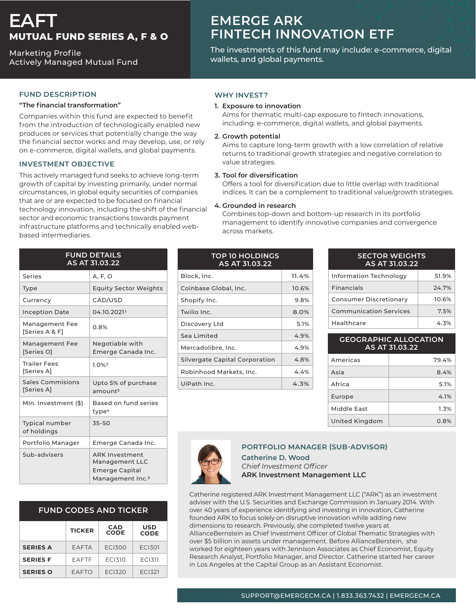# **EAFT MUTUAL FUND SERIES A, F & O**

**Marketing Profile** Actively Managed Mutual Fund

## **FUND DESCRIPTION**

#### **"transformation financial The"**

Companies within this fund are expected to benefit from the introduction of technologically enabled new produces or services that potentially change the way the financial sector works and may develop, use, or rely on e-commerce, digital wallets, and global payments.

#### **INVESTMENT OBJECTIVE**

This actively managed fund seeks to achieve long-term growth of capital by investing primarily, under normal circumstances, in global equity securities of companies that are or are expected to be focused on financial technology innovation, including the shift of the financial sector and economic transactions towards payment infrastructure platforms and technically enabled web-<br>based intermediaries.

| <b>FUND DETAILS</b><br>AS AT 31.03.22 |                                                                                           |  |
|---------------------------------------|-------------------------------------------------------------------------------------------|--|
| Series                                | A, F, O                                                                                   |  |
| Type                                  | <b>Equity Sector Weights</b>                                                              |  |
| Currency                              | CAD/USD                                                                                   |  |
| <b>Inception Date</b>                 | 04.10.20211                                                                               |  |
| Management Fee<br>[Series A & F]      | 0.8%                                                                                      |  |
| <b>Management Fee</b><br>[Series O]   | Negotiable with<br>Emerge Canada Inc.                                                     |  |
| <b>Trailer Fees</b><br>[Series A]     | 1.0%2                                                                                     |  |
| <b>Sales Commisions</b><br>[Series A] | Upto 5% of purchase<br>amount <sup>3</sup>                                                |  |
| Min. Investment (\$)                  | Based on fund series<br>type <sup>4</sup>                                                 |  |
| <b>Typical number</b><br>of holdings  | $35 - 50$                                                                                 |  |
| Portfolio Manager                     | Emerge Canada Inc.                                                                        |  |
| Sub-advisers                          | <b>ARK Investment</b><br>Management LLC<br>Emerge Capital<br>Management Inc. <sup>5</sup> |  |

| <b>FUND CODES AND TICKER</b> |               |                           |                           |  |
|------------------------------|---------------|---------------------------|---------------------------|--|
|                              | <b>TICKER</b> | <b>CAD</b><br><b>CODE</b> | <b>USD</b><br><b>CODE</b> |  |
| <b>SERIES A</b>              | EAFTA         | <b>ECI300</b>             | <b>ECI301</b>             |  |
| <b>SERIES F</b>              | EAFTF         | <b>ECI310</b>             | <b>ECI311</b>             |  |
| <b>SERIES O</b>              | EAFTO         | FCI320                    | EC <sub>1321</sub>        |  |

## **EMERGE ARK FINTECH INNOVATION ETF**

The investments of this fund may include: e-commerce, digital wallets, and global payments.

## **WHY INVEST?**

#### **1. Exposure to innovation**

Aims for thematic multi-cap exposure to fintech innovations, including: e-commerce, digital wallets, and global payments.

#### **potential Growth 2.**

Aims to capture long-term growth with a low correlation of relative returns to traditional growth strategies and negative correlation to value strategies.

#### **3. Tool for diversification**

Offers a tool for diversification due to little overlap with traditional indices. It can be a complement to traditional value/growth strategies.

#### **4.** Grounded in research

Combines top-down and bottom-up research in its portfolio management to identify innovative companies and convergence across markets.

| <b>TOP 10 HOLDINGS</b><br>AS AT 31.03.22 |       |  |
|------------------------------------------|-------|--|
| Block, Inc.                              | 11.4% |  |
| Coinbase Global, Inc.                    | 10.6% |  |
| Shopify Inc.                             | 9.8%  |  |
| Twilio Inc.                              | 8.0%  |  |
| Discovery Ltd                            | 5.1%  |  |
| Sea Limited                              | 4.9%  |  |
| Mercadolibre, Inc.                       | 4.9%  |  |
| Silvergate Capital Corporation           | 4.8%  |  |
| Robinhood Markets, Inc.                  | 4.4%  |  |
| UiPath Inc.                              | 4.3%  |  |

| <b>SECTOR WEIGHTS</b><br>AS AT 31.03.22 |       |  |
|-----------------------------------------|-------|--|
| <b>Information Technology</b>           | 51.9% |  |
| <b>Financials</b>                       | 24.7% |  |
| Consumer Discretionary                  | 10.6% |  |
| <b>Communication Services</b>           | 7.5%  |  |
| Healthcare                              | 4.3%  |  |

| <b>GEOGRAPHIC ALLOCATION</b><br>AS AT 31.03.22 |       |  |
|------------------------------------------------|-------|--|
| Americas                                       | 79.4% |  |
| Asia                                           | 8.4%  |  |
| Africa                                         | 5.1%  |  |
| Europe                                         | 4.1%  |  |
| Middle East                                    | 1.3%  |  |
| United Kingdom                                 | 0.8%  |  |



### **PORTFOLIO MANAGER (SUB-ADVISOR)**

#### **Catherine D. Wood** *Officer Investment Chief* **ARK Investment Management LLC**

Catherine registered ARK Investment Management LLC ("ARK") as an investment adviser with the U.S. Securities and Exchange Commission in January 2014. With over 40 years of experience identifying and investing in innovation, Catherine founded ARK to focus solely on disruptive innovation while adding new dimensions to research. Previously, she completed twelve years at AllianceBernstein as Chief Investment Officer of Global Thematic Strategies with over \$5 billion in assets under management. Before AllianceBerstein, she worked for eighteen years with Jennison Associates as Chief Economist, Equity Research Analyst, Portfolio Manager, and Director. Catherine started her career in Los Angeles at the Capital Group as an Assistant Economist.